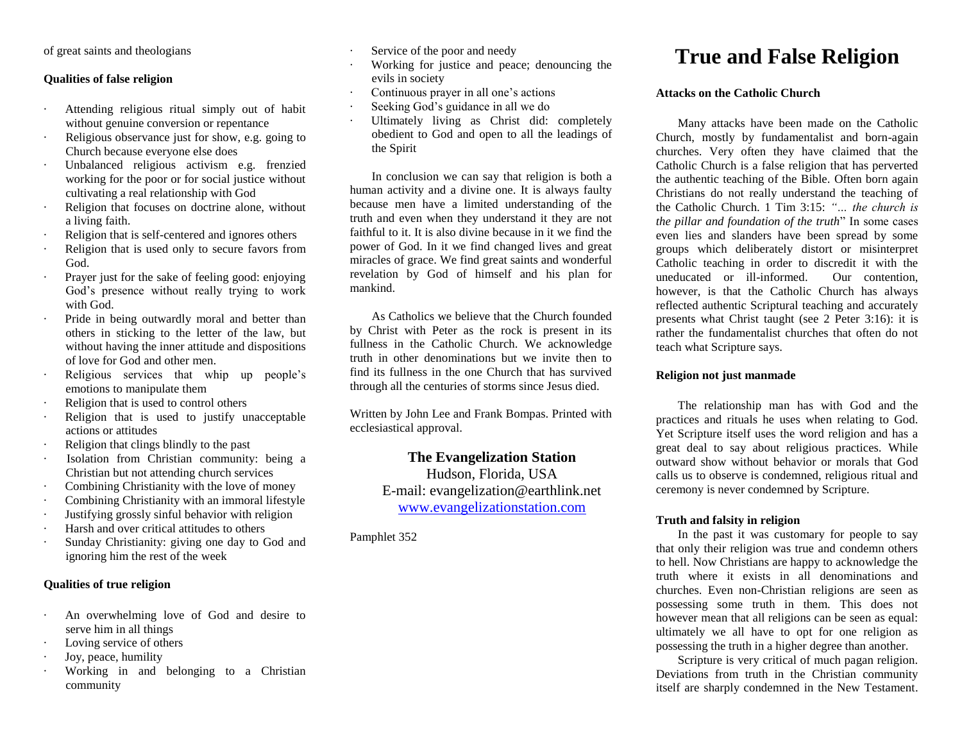of great saints and theologians

#### **Qualities of false religion**

- · Attending religious ritual simply out of habit without genuine conversion or repentance
- Religious observance just for show, e.g. going to Church because everyone else does
- · Unbalanced religious activism e.g. frenzied working for the poor or for social justice without cultivating a real relationship with God
- Religion that focuses on doctrine alone, without a living faith.
- · Religion that is self-centered and ignores others
- Religion that is used only to secure favors from God.
- · Prayer just for the sake of feeling good: enjoying God's presence without really trying to work with God.
- Pride in being outwardly moral and better than others in sticking to the letter of the law, but without having the inner attitude and dispositions of love for God and other men.
- Religious services that whip up people's emotions to manipulate them
- Religion that is used to control others
- Religion that is used to justify unacceptable actions or attitudes
- Religion that clings blindly to the past
- Isolation from Christian community: being a Christian but not attending church services
- Combining Christianity with the love of money
- Combining Christianity with an immoral lifestyle
- · Justifying grossly sinful behavior with religion
- Harsh and over critical attitudes to others
- Sunday Christianity: giving one day to God and ignoring him the rest of the week

### **Qualities of true religion**

- · An overwhelming love of God and desire to serve him in all things
- Loving service of others
- · Joy, peace, humility
- Working in and belonging to a Christian community
- Service of the poor and needy
- Working for justice and peace; denouncing the evils in society
- Continuous prayer in all one's actions
- Seeking God's guidance in all we do
- Ultimately living as Christ did: completely obedient to God and open to all the leadings of the Spirit

In conclusion we can say that religion is both a human activity and a divine one. It is always faulty because men have a limited understanding of the truth and even when they understand it they are not faithful to it. It is also divine because in it we find the power of God. In it we find changed lives and great miracles of grace. We find great saints and wonderful revelation by God of himself and his plan for mankind.

As Catholics we believe that the Church founded by Christ with Peter as the rock is present in its fullness in the Catholic Church. We acknowledge truth in other denominations but we invite then to find its fullness in the one Church that has survived through all the centuries of storms since Jesus died.

Written by John Lee and Frank Bompas. Printed with ecclesiastical approval.

## **The Evangelization Station**

Hudson, Florida, USA E-mail: evangelization@earthlink.net [www.evangelizationstation.com](http://www.pjpiisoe.org/)

Pamphlet 352

# **True and False Religion**

### **Attacks on the Catholic Church**

Many attacks have been made on the Catholic Church, mostly by fundamentalist and born-again churches. Very often they have claimed that the Catholic Church is a false religion that has perverted the authentic teaching of the Bible. Often born again Christians do not really understand the teaching of the Catholic Church. 1 Tim 3:15: *"… the church is the pillar and foundation of the truth*" In some cases even lies and slanders have been spread by some groups which deliberately distort or misinterpret Catholic teaching in order to discredit it with the uneducated or ill-informed. Our contention, however, is that the Catholic Church has always reflected authentic Scriptural teaching and accurately presents what Christ taught (see 2 Peter 3:16): it is rather the fundamentalist churches that often do not teach what Scripture says.

### **Religion not just manmade**

The relationship man has with God and the practices and rituals he uses when relating to God. Yet Scripture itself uses the word religion and has a great deal to say about religious practices. While outward show without behavior or morals that God calls us to observe is condemned, religious ritual and ceremony is never condemned by Scripture.

## **Truth and falsity in religion**

In the past it was customary for people to say that only their religion was true and condemn others to hell. Now Christians are happy to acknowledge the truth where it exists in all denominations and churches. Even non-Christian religions are seen as possessing some truth in them. This does not however mean that all religions can be seen as equal: ultimately we all have to opt for one religion as possessing the truth in a higher degree than another.

Scripture is very critical of much pagan religion. Deviations from truth in the Christian community itself are sharply condemned in the New Testament.